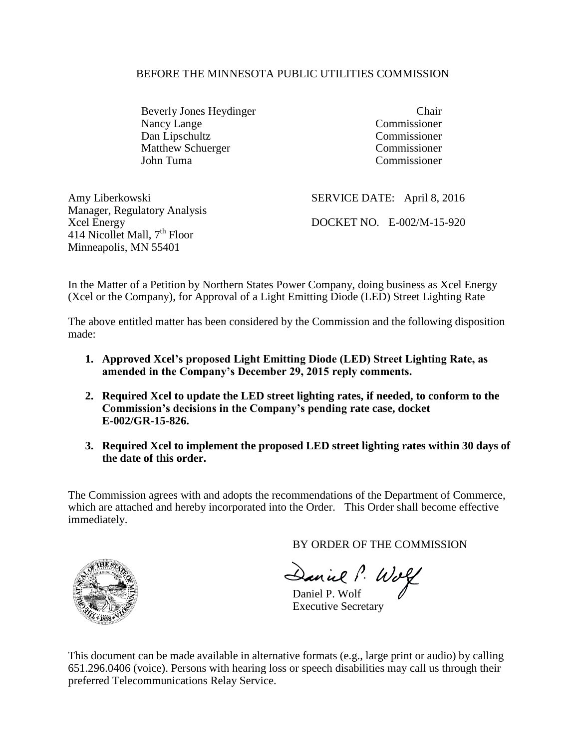#### BEFORE THE MINNESOTA PUBLIC UTILITIES COMMISSION

Beverly Jones Heydinger Chair Nancy Lange Commissioner Dan Lipschultz Commissioner Matthew Schuerger Commissioner John Tuma Commissioner

| Amy Liberkowski                          | SERVICE DATE: April 8, 2016 |
|------------------------------------------|-----------------------------|
| Manager, Regulatory Analysis             |                             |
| Xcel Energy                              | DOCKET NO. E-002/M-15-920   |
| 414 Nicollet Mall, 7 <sup>th</sup> Floor |                             |
| Minneapolis, MN 55401                    |                             |

In the Matter of a Petition by Northern States Power Company, doing business as Xcel Energy (Xcel or the Company), for Approval of a Light Emitting Diode (LED) Street Lighting Rate

The above entitled matter has been considered by the Commission and the following disposition made:

- **1. Approved Xcel's proposed Light Emitting Diode (LED) Street Lighting Rate, as amended in the Company's December 29, 2015 reply comments.**
- **2. Required Xcel to update the LED street lighting rates, if needed, to conform to the Commission's decisions in the Company's pending rate case, docket E-002/GR-15-826.**
- **3. Required Xcel to implement the proposed LED street lighting rates within 30 days of the date of this order.**

The Commission agrees with and adopts the recommendations of the Department of Commerce, which are attached and hereby incorporated into the Order. This Order shall become effective immediately.

BY ORDER OF THE COMMISSION

Daniel P. Wolf

Executive Secretary

This document can be made available in alternative formats (e.g., large print or audio) by calling 651.296.0406 (voice). Persons with hearing loss or speech disabilities may call us through their preferred Telecommunications Relay Service.

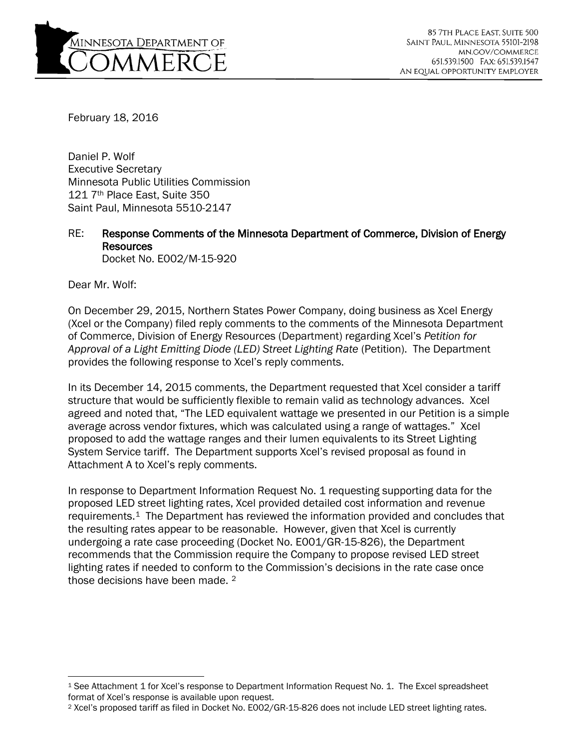

February 18, 2016

Daniel P. Wolf Executive Secretary Minnesota Public Utilities Commission 121 7th Place East, Suite 350 Saint Paul, Minnesota 5510-2147

RE: Response Comments of the Minnesota Department of Commerce, Division of Energy Resources Docket No. E002/M-15-920

Dear Mr. Wolf:

On December 29, 2015, Northern States Power Company, doing business as Xcel Energy (Xcel or the Company) filed reply comments to the comments of the Minnesota Department of Commerce, Division of Energy Resources (Department) regarding Xcel's *Petition for Approval of a Light Emitting Diode (LED) Street Lighting Rate* (Petition). The Department provides the following response to Xcel's reply comments.

In its December 14, 2015 comments, the Department requested that Xcel consider a tariff structure that would be sufficiently flexible to remain valid as technology advances. Xcel agreed and noted that, "The LED equivalent wattage we presented in our Petition is a simple average across vendor fixtures, which was calculated using a range of wattages." Xcel proposed to add the wattage ranges and their lumen equivalents to its Street Lighting System Service tariff. The Department supports Xcel's revised proposal as found in Attachment A to Xcel's reply comments.

In response to Department Information Request No. 1 requesting supporting data for the proposed LED street lighting rates, Xcel provided detailed cost information and revenue requirements.[1](#page-1-0) The Department has reviewed the information provided and concludes that the resulting rates appear to be reasonable. However, given that Xcel is currently undergoing a rate case proceeding (Docket No. E001/GR-15-826), the Department recommends that the Commission require the Company to propose revised LED street lighting rates if needed to conform to the Commission's decisions in the rate case once those decisions have been made. [2](#page-1-1)

<span id="page-1-0"></span><sup>1</sup> See Attachment 1 for Xcel's response to Department Information Request No. 1. The Excel spreadsheet format of Xcel's response is available upon request.

<span id="page-1-1"></span><sup>2</sup> Xcel's proposed tariff as filed in Docket No. E002/GR-15-826 does not include LED street lighting rates.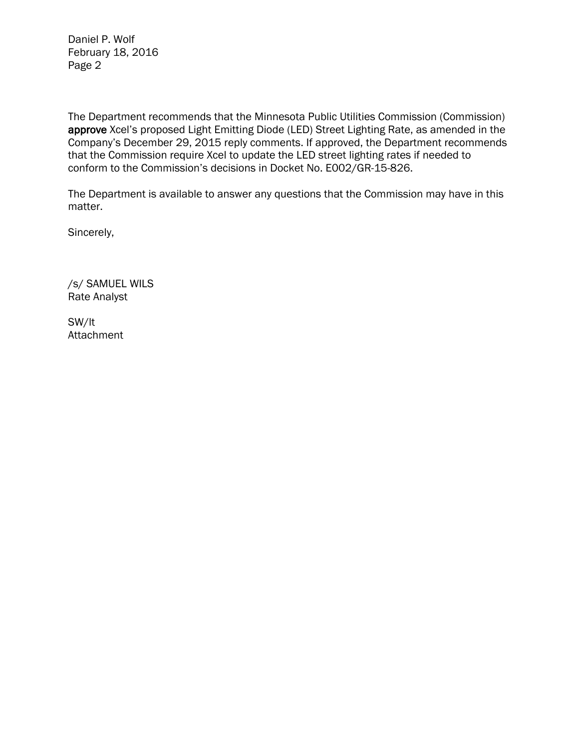Daniel P. Wolf February 18, 2016 Page 2

The Department recommends that the Minnesota Public Utilities Commission (Commission) approve Xcel's proposed Light Emitting Diode (LED) Street Lighting Rate, as amended in the Company's December 29, 2015 reply comments. If approved, the Department recommends that the Commission require Xcel to update the LED street lighting rates if needed to conform to the Commission's decisions in Docket No. E002/GR-15-826.

The Department is available to answer any questions that the Commission may have in this matter.

Sincerely,

/s/ SAMUEL WILS Rate Analyst

SW/lt Attachment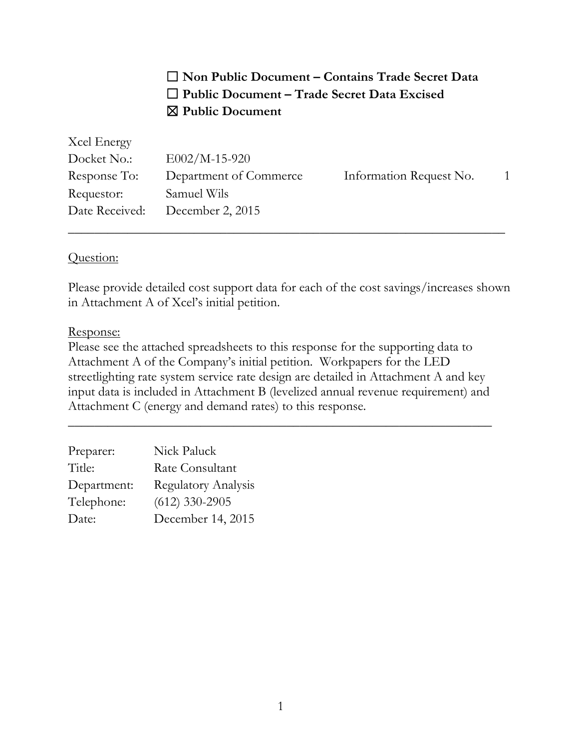☐ **Non Public Document – Contains Trade Secret Data** ☐ **Public Document – Trade Secret Data Excised** ☒ **Public Document**

| Xcel Energy  |                                 |                         |  |
|--------------|---------------------------------|-------------------------|--|
| Docket No.:  | $E002/M-15-920$                 |                         |  |
| Response To: | Department of Commerce          | Information Request No. |  |
| Requestor:   | Samuel Wils                     |                         |  |
|              | Date Received: December 2, 2015 |                         |  |

\_\_\_\_\_\_\_\_\_\_\_\_\_\_\_\_\_\_\_\_\_\_\_\_\_\_\_\_\_\_\_\_\_\_\_\_\_\_\_\_\_\_\_\_\_\_\_\_\_\_\_\_\_\_\_\_\_\_\_\_\_\_\_\_\_\_

### Question:

Please provide detailed cost support data for each of the cost savings/increases shown in Attachment A of Xcel's initial petition.

### Response:

Please see the attached spreadsheets to this response for the supporting data to Attachment A of the Company's initial petition. Workpapers for the LED streetlighting rate system service rate design are detailed in Attachment A and key input data is included in Attachment B (levelized annual revenue requirement) and Attachment C (energy and demand rates) to this response.

\_\_\_\_\_\_\_\_\_\_\_\_\_\_\_\_\_\_\_\_\_\_\_\_\_\_\_\_\_\_\_\_\_\_\_\_\_\_\_\_\_\_\_\_\_\_\_\_\_\_\_\_\_\_\_\_\_\_\_\_\_\_\_\_

| Preparer:   | Nick Paluck                |
|-------------|----------------------------|
| Title:      | Rate Consultant            |
| Department: | <b>Regulatory Analysis</b> |
| Telephone:  | $(612)$ 330-2905           |
| Date:       | December 14, 2015          |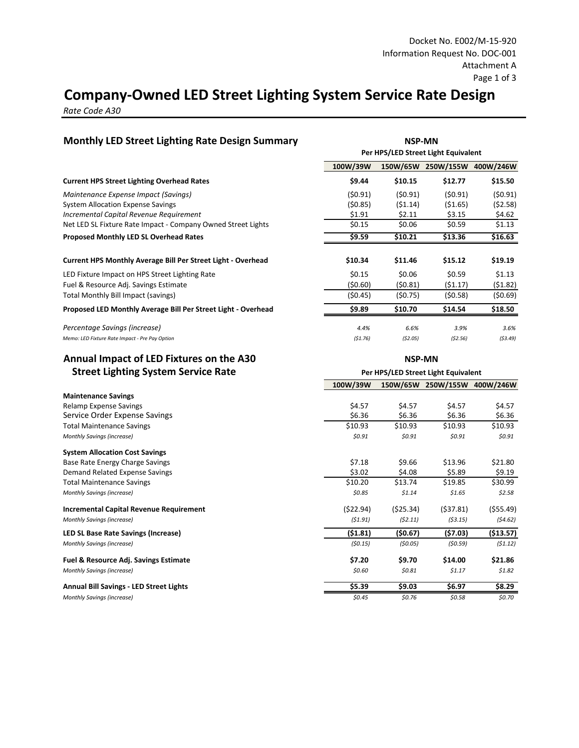### **Company-Owned LED Street Lighting System Service Rate Design**

*Rate Code A30* 

| <b>Monthly LED Street Lighting Rate Design Summary</b>                                                                      |                               | <b>NSP-MN</b><br>Per HPS/LED Street Light Equivalent |                              |                              |  |  |
|-----------------------------------------------------------------------------------------------------------------------------|-------------------------------|------------------------------------------------------|------------------------------|------------------------------|--|--|
|                                                                                                                             | 100W/39W                      |                                                      | 150W/65W 250W/155W 400W/246W |                              |  |  |
| <b>Current HPS Street Lighting Overhead Rates</b>                                                                           | \$9.44                        | \$10.15                                              | \$12.77                      | \$15.50                      |  |  |
| Maintenance Expense Impact (Savings)<br><b>System Allocation Expense Savings</b><br>Incremental Capital Revenue Requirement | (\$0.91)<br>(50.85)<br>\$1.91 | (50.91)<br>(51.14)<br>\$2.11                         | (50.91)<br>(51.65)<br>\$3.15 | (50.91)<br>(52.58)<br>\$4.62 |  |  |
| Net LED SL Fixture Rate Impact - Company Owned Street Lights                                                                | \$0.15                        | \$0.06                                               | \$0.59                       | \$1.13                       |  |  |
| <b>Proposed Monthly LED SL Overhead Rates</b>                                                                               | \$9.59                        | \$10.21                                              | \$13.36                      | \$16.63                      |  |  |
| Current HPS Monthly Average Bill Per Street Light - Overhead                                                                | \$10.34                       | \$11.46                                              | \$15.12                      | \$19.19                      |  |  |
| LED Fixture Impact on HPS Street Lighting Rate                                                                              | \$0.15                        | \$0.06                                               | \$0.59                       | \$1.13                       |  |  |
| Fuel & Resource Adj. Savings Estimate                                                                                       | (50.60)                       | (50.81)                                              | (\$1.17)                     | (51.82)                      |  |  |
| Total Monthly Bill Impact (savings)                                                                                         | (50.45)                       | (50.75)                                              | (50.58)                      | (50.69)                      |  |  |
| Proposed LED Monthly Average Bill Per Street Light - Overhead                                                               | \$9.89                        | \$10.70                                              | \$14.54                      | \$18.50                      |  |  |
| Percentage Savings (increase)                                                                                               | 4.4%                          | 6.6%                                                 | 3.9%                         | 3.6%                         |  |  |
| Memo: LED Fixture Rate Impact - Pre Pay Option                                                                              | (51.76)                       | (52.05)                                              | (52.56)                      | (53.49)                      |  |  |
| Annual Impact of LED Fixtures on the A30                                                                                    | <b>NSP-MN</b>                 |                                                      |                              |                              |  |  |
| <b>Street Lighting System Service Rate</b>                                                                                  |                               | Per HPS/LED Street Light Equivalent                  |                              |                              |  |  |
|                                                                                                                             | 100W/39W                      |                                                      | 150W/65W 250W/155W 400W/246W |                              |  |  |
| <b>Maintenance Savings</b>                                                                                                  |                               |                                                      |                              |                              |  |  |
| Relamp Expense Savings<br>Service Order Expense Savings                                                                     | \$4.57<br>\$6.36              | \$4.57<br>\$6.36                                     | \$4.57<br>\$6.36             | \$4.57<br>\$6.36             |  |  |
| <b>Total Maintenance Savings</b>                                                                                            | \$10.93                       | \$10.93                                              | \$10.93                      | \$10.93                      |  |  |
| Monthly Savings (increase)                                                                                                  | \$0.91                        | \$0.91                                               | \$0.91                       | \$0.91                       |  |  |
| <b>System Allocation Cost Savings</b>                                                                                       |                               |                                                      |                              |                              |  |  |
| Base Rate Energy Charge Savings                                                                                             | \$7.18                        | \$9.66                                               | \$13.96                      | \$21.80                      |  |  |
| Demand Related Expense Savings                                                                                              | \$3.02                        | \$4.08                                               | \$5.89                       | \$9.19                       |  |  |
| <b>Total Maintenance Savings</b>                                                                                            | \$10.20                       | \$13.74                                              | \$19.85                      | \$30.99                      |  |  |
| Monthly Savings (increase)                                                                                                  | \$0.85                        | \$1.14                                               | \$1.65                       | \$2.58                       |  |  |
| <b>Incremental Capital Revenue Requirement</b>                                                                              | (522.94)                      | (525.34)                                             | (537.81)                     | (555.49)                     |  |  |
| Monthly Savings (increase)                                                                                                  | (51.91)                       | (52.11)                                              | (53.15)                      | (54.62)                      |  |  |
| LED SL Base Rate Savings (Increase)                                                                                         | (\$1.81)                      | (50.67)                                              | (\$7.03)                     | ( \$13.57)                   |  |  |
| Monthly Savings (increase)                                                                                                  | (50.15)                       | (50.05)                                              | (50.59)                      | (51.12)                      |  |  |
| <b>Fuel &amp; Resource Adj. Savings Estimate</b>                                                                            | \$7.20                        | \$9.70                                               | \$14.00                      | \$21.86                      |  |  |
| Monthly Savings (increase)                                                                                                  | \$0.60                        | \$0.81                                               | \$1.17                       | \$1.82                       |  |  |
| <b>Annual Bill Savings - LED Street Lights</b>                                                                              | \$5.39                        | \$9.03                                               | \$6.97                       | \$8.29                       |  |  |
| Monthly Savings (increase)                                                                                                  | \$0.45                        | \$0.76                                               | \$0.58                       | \$0.70                       |  |  |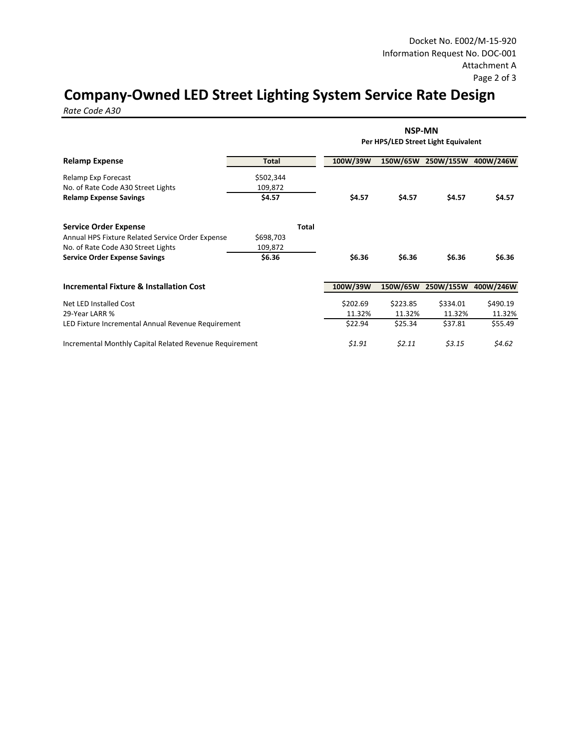## **Company-Owned LED Street Lighting System Service Rate Design**

*Rate Code A30* 

|                                                         |              | <b>NSP-MN</b><br>Per HPS/LED Street Light Equivalent |          |          |                              |          |  |
|---------------------------------------------------------|--------------|------------------------------------------------------|----------|----------|------------------------------|----------|--|
| <b>Relamp Expense</b>                                   | <b>Total</b> |                                                      | 100W/39W |          | 150W/65W 250W/155W 400W/246W |          |  |
| Relamp Exp Forecast                                     | \$502,344    |                                                      |          |          |                              |          |  |
| No. of Rate Code A30 Street Lights                      | 109,872      |                                                      |          |          |                              |          |  |
| <b>Relamp Expense Savings</b>                           | \$4.57       |                                                      | \$4.57   | \$4.57   | \$4.57                       | \$4.57   |  |
| <b>Service Order Expense</b>                            |              | <b>Total</b>                                         |          |          |                              |          |  |
| Annual HPS Fixture Related Service Order Expense        | \$698,703    |                                                      |          |          |                              |          |  |
| No. of Rate Code A30 Street Lights                      | 109,872      |                                                      |          |          |                              |          |  |
| <b>Service Order Expense Savings</b>                    | \$6.36       |                                                      | \$6.36   | \$6.36   | \$6.36                       | \$6.36   |  |
| <b>Incremental Fixture &amp; Installation Cost</b>      |              |                                                      | 100W/39W | 150W/65W | 250W/155W 400W/246W          |          |  |
| Net LED Installed Cost                                  |              |                                                      | \$202.69 | \$223.85 | \$334.01                     | \$490.19 |  |
| 29-Year LARR %                                          |              |                                                      | 11.32%   | 11.32%   | 11.32%                       | 11.32%   |  |
| LED Fixture Incremental Annual Revenue Requirement      |              |                                                      | \$22.94  | \$25.34  | \$37.81                      | \$55.49  |  |
| Incremental Monthly Capital Related Revenue Requirement |              |                                                      | \$1.91   | \$2.11   | \$3.15                       | \$4.62   |  |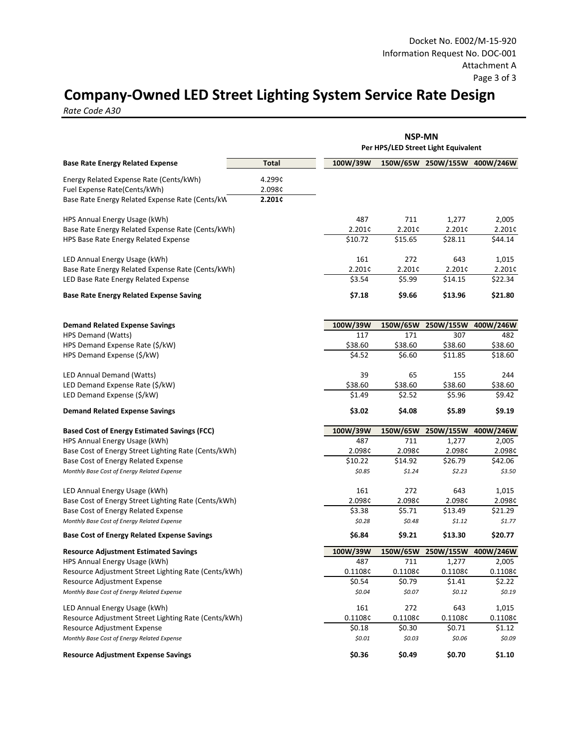## **Company-Owned LED Street Lighting System Service Rate Design**

*Rate Code A30* 

|                                                      |              | <b>NSP-MN</b> |          |                                     |                     |
|------------------------------------------------------|--------------|---------------|----------|-------------------------------------|---------------------|
|                                                      |              |               |          | Per HPS/LED Street Light Equivalent |                     |
| <b>Base Rate Energy Related Expense</b>              | <b>Total</b> | 100W/39W      |          | 150W/65W 250W/155W 400W/246W        |                     |
| Energy Related Expense Rate (Cents/kWh)              | 4.299¢       |               |          |                                     |                     |
| Fuel Expense Rate(Cents/kWh)                         | 2.098¢       |               |          |                                     |                     |
| Base Rate Energy Related Expense Rate (Cents/kW)     | 2.201¢       |               |          |                                     |                     |
| HPS Annual Energy Usage (kWh)                        |              | 487           | 711      | 1,277                               | 2,005               |
| Base Rate Energy Related Expense Rate (Cents/kWh)    |              | 2.201¢        | 2.201¢   | 2.201¢                              | 2.201¢              |
| HPS Base Rate Energy Related Expense                 |              | \$10.72       | \$15.65  | \$28.11                             | \$44.14             |
|                                                      |              |               |          |                                     |                     |
| LED Annual Energy Usage (kWh)                        |              | 161           | 272      | 643                                 | 1,015               |
| Base Rate Energy Related Expense Rate (Cents/kWh)    |              | 2.201¢        | 2.201¢   | 2.201¢                              | 2.201¢              |
| LED Base Rate Energy Related Expense                 |              | \$3.54        | \$5.99   | \$14.15                             | \$22.34             |
| <b>Base Rate Energy Related Expense Saving</b>       |              | \$7.18        | \$9.66   | \$13.96                             | \$21.80             |
|                                                      |              |               |          |                                     |                     |
| <b>Demand Related Expense Savings</b>                |              | 100W/39W      | 150W/65W | 250W/155W                           | 400W/246W           |
| HPS Demand (Watts)                                   |              | 117           | 171      | 307                                 | 482                 |
| HPS Demand Expense Rate (\$/kW)                      |              | \$38.60       | \$38.60  | \$38.60                             | \$38.60             |
| HPS Demand Expense (\$/kW)                           |              | \$4.52        | \$6.60   | \$11.85                             | \$18.60             |
| LED Annual Demand (Watts)                            |              | 39            | 65       | 155                                 | 244                 |
| LED Demand Expense Rate (\$/kW)                      |              | \$38.60       | \$38.60  | \$38.60                             | \$38.60             |
| LED Demand Expense (\$/kW)                           |              | \$1.49        | \$2.52   | \$5.96                              | \$9.42              |
| <b>Demand Related Expense Savings</b>                |              | \$3.02        | \$4.08   | \$5.89                              | \$9.19              |
| <b>Based Cost of Energy Estimated Savings (FCC)</b>  |              | 100W/39W      | 150W/65W |                                     | 250W/155W 400W/246W |
| HPS Annual Energy Usage (kWh)                        |              | 487           | 711      | 1,277                               | 2,005               |
| Base Cost of Energy Street Lighting Rate (Cents/kWh) |              | 2.098¢        | 2.098¢   | 2.098¢                              | 2.098¢              |
| Base Cost of Energy Related Expense                  |              | \$10.22       | \$14.92  | \$26.79                             | \$42.06             |
| Monthly Base Cost of Energy Related Expense          |              | \$0.85        | \$1.24   | \$2.23                              | \$3.50              |
| LED Annual Energy Usage (kWh)                        |              | 161           | 272      | 643                                 | 1,015               |
| Base Cost of Energy Street Lighting Rate (Cents/kWh) |              | 2.098¢        | 2.098¢   | 2.098¢                              | 2.098¢              |
| Base Cost of Energy Related Expense                  |              | \$3.38        | \$5.71   | \$13.49                             | \$21.29             |
| Monthly Base Cost of Energy Related Expense          |              | \$0.28        | \$0.48   | \$1.12                              | \$1.77              |
| <b>Base Cost of Energy Related Expense Savings</b>   |              | \$6.84        | \$9.21   | \$13.30                             | \$20.77             |
| <b>Resource Adjustment Estimated Savings</b>         |              | 100W/39W      |          | 150W/65W 250W/155W                  | 400W/246W           |
| HPS Annual Energy Usage (kWh)                        |              | 487           | 711      | 1,277                               | 2,005               |
| Resource Adjustment Street Lighting Rate (Cents/kWh) |              | 0.1108c       | 0.1108¢  | 0.1108¢                             | 0.1108c             |
| Resource Adjustment Expense                          |              | \$0.54        | \$0.79   | \$1.41                              | \$2.22              |
| Monthly Base Cost of Energy Related Expense          |              | \$0.04        | \$0.07   | \$0.12                              | \$0.19              |
| LED Annual Energy Usage (kWh)                        |              | 161           | 272      | 643                                 | 1,015               |
| Resource Adjustment Street Lighting Rate (Cents/kWh) |              | 0.1108¢       | 0.1108¢  | 0.1108¢                             | 0.1108¢             |
| Resource Adjustment Expense                          |              | \$0.18        | \$0.30   | \$0.71                              | \$1.12              |
| Monthly Base Cost of Energy Related Expense          |              | \$0.01        | \$0.03   | \$0.06                              | \$0.09              |
| <b>Resource Adjustment Expense Savings</b>           |              | \$0.36        | \$0.49   | \$0.70                              | \$1.10              |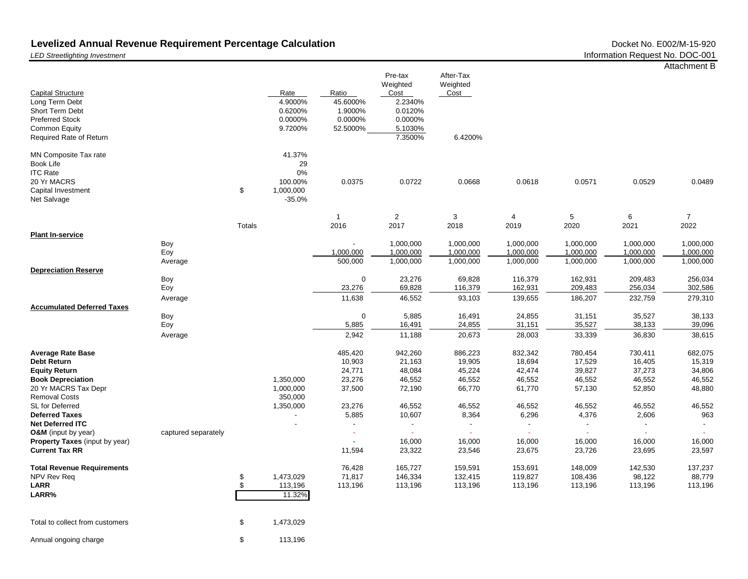# Levelized Annual Revenue Requirement Percentage Calculation<br>LED Streetlighting Investment Doc-001 **Doc-001** Docket No. DOC-001

Attachment B

| <b>Capital Structure</b><br>Long Term Debt                                                                |                     |          | Rate<br>4.9000%                                        | Ratio<br>45.6000% | Pre-tax<br>Weighted<br>Cost<br>2.2340% | After-Tax<br>Weighted<br>Cost |                    |                    |                   |                   |
|-----------------------------------------------------------------------------------------------------------|---------------------|----------|--------------------------------------------------------|-------------------|----------------------------------------|-------------------------------|--------------------|--------------------|-------------------|-------------------|
| Short Term Debt                                                                                           |                     |          | 0.6200%                                                | 1.9000%           | 0.0120%                                |                               |                    |                    |                   |                   |
| <b>Preferred Stock</b>                                                                                    |                     |          | 0.0000%                                                | 0.0000%           | 0.0000%                                |                               |                    |                    |                   |                   |
| Common Equity                                                                                             |                     |          | 9.7200%                                                | 52.5000%          | 5.1030%                                |                               |                    |                    |                   |                   |
| Required Rate of Return                                                                                   |                     |          |                                                        |                   | 7.3500%                                | 6.4200%                       |                    |                    |                   |                   |
| MN Composite Tax rate<br>Book Life<br><b>ITC Rate</b><br>20 Yr MACRS<br>Capital Investment<br>Net Salvage |                     | \$       | 41.37%<br>29<br>0%<br>100.00%<br>1,000,000<br>$-35.0%$ | 0.0375            | 0.0722                                 | 0.0668                        | 0.0618             | 0.0571             | 0.0529            | 0.0489            |
|                                                                                                           |                     |          |                                                        | $\overline{1}$    | $\overline{2}$                         | 3                             | $\overline{4}$     | 5                  | 6                 | $\overline{7}$    |
|                                                                                                           |                     | Totals   |                                                        | 2016              | 2017                                   | 2018                          | 2019               | 2020               | 2021              | 2022              |
| <b>Plant In-service</b>                                                                                   | Boy                 |          |                                                        |                   | 1,000,000                              | 1,000,000                     | 1,000,000          | 1,000,000          | 1,000,000         | 1,000,000         |
|                                                                                                           | Eoy                 |          |                                                        | 1,000,000         | 1,000,000                              | 1,000,000                     | 1,000,000          | 1,000,000          | 1,000,000         | 1,000,000         |
|                                                                                                           | Average             |          |                                                        | 500,000           | 1,000,000                              | 1,000,000                     | 1,000,000          | 1,000,000          | 1,000,000         | 1,000,000         |
| <b>Depreciation Reserve</b>                                                                               |                     |          |                                                        |                   |                                        |                               |                    |                    |                   |                   |
|                                                                                                           | Boy                 |          |                                                        | 0                 | 23,276                                 | 69,828                        | 116,379            | 162,931            | 209,483           | 256,034           |
|                                                                                                           | Eoy                 |          |                                                        | 23,276            | 69,828                                 | 116,379                       | 162,931            | 209,483            | 256,034           | 302,586           |
|                                                                                                           | Average             |          |                                                        | 11,638            | 46,552                                 | 93,103                        | 139,655            | 186,207            | 232,759           | 279,310           |
| <b>Accumulated Deferred Taxes</b>                                                                         | Boy                 |          |                                                        | $\boldsymbol{0}$  | 5,885                                  | 16,491                        | 24,855             | 31,151             | 35,527            | 38,133            |
|                                                                                                           | Eoy                 |          |                                                        | 5,885             | 16,491                                 | 24,855                        | 31,151             | 35,527             | 38,133            | 39,096            |
|                                                                                                           | Average             |          |                                                        | 2,942             | 11,188                                 | 20,673                        | 28,003             | 33,339             | 36,830            | 38,615            |
|                                                                                                           |                     |          |                                                        |                   |                                        |                               |                    |                    |                   |                   |
| <b>Average Rate Base</b>                                                                                  |                     |          |                                                        | 485,420           | 942,260                                | 886,223                       | 832,342            | 780,454            | 730,411           | 682,075           |
| Debt Return                                                                                               |                     |          |                                                        | 10,903            | 21,163                                 | 19,905                        | 18,694             | 17,529             | 16,405            | 15,319            |
| <b>Equity Return</b>                                                                                      |                     |          |                                                        | 24,771            | 48,084                                 | 45,224                        | 42,474             | 39,827             | 37,273            | 34,806            |
| <b>Book Depreciation</b>                                                                                  |                     |          | 1,350,000                                              | 23,276            | 46,552                                 | 46,552                        | 46,552             | 46,552             | 46,552            | 46,552            |
| 20 Yr MACRS Tax Depr                                                                                      |                     |          | 1,000,000                                              | 37,500            | 72,190                                 | 66,770                        | 61,770             | 57,130             | 52,850            | 48,880            |
| <b>Removal Costs</b>                                                                                      |                     |          | 350,000                                                |                   |                                        |                               |                    |                    |                   |                   |
| SL for Deferred<br><b>Deferred Taxes</b>                                                                  |                     |          | 1,350,000                                              | 23,276<br>5,885   | 46,552<br>10,607                       | 46,552<br>8,364               | 46,552<br>6,296    | 46,552<br>4,376    | 46,552<br>2,606   | 46,552<br>963     |
| <b>Net Deferred ITC</b>                                                                                   |                     |          |                                                        | $\overline{a}$    |                                        |                               | $\blacksquare$     |                    | $\sim$            | $\blacksquare$    |
| <b>O&amp;M</b> (input by year)                                                                            | captured separately |          |                                                        |                   |                                        |                               |                    |                    | ÷.                |                   |
| Property Taxes (input by year)                                                                            |                     |          |                                                        |                   | 16,000                                 | 16,000                        | 16,000             | 16,000             | 16,000            | 16,000            |
| <b>Current Tax RR</b>                                                                                     |                     |          |                                                        | 11,594            | 23,322                                 | 23,546                        | 23,675             | 23,726             | 23,695            | 23,597            |
|                                                                                                           |                     |          |                                                        |                   |                                        |                               |                    |                    |                   |                   |
| <b>Total Revenue Requirements</b>                                                                         |                     |          |                                                        | 76,428            | 165,727                                | 159,591                       | 153,691            | 148,009            | 142,530           | 137,237<br>88,779 |
| NPV Rev Req<br><b>LARR</b>                                                                                |                     | \$<br>\$ | 1,473,029<br>113,196                                   | 71,817<br>113,196 | 146,334<br>113,196                     | 132,415<br>113,196            | 119,827<br>113,196 | 108,436<br>113,196 | 98,122<br>113,196 | 113,196           |
| LARR%                                                                                                     |                     |          | 11.32%                                                 |                   |                                        |                               |                    |                    |                   |                   |
|                                                                                                           |                     |          |                                                        |                   |                                        |                               |                    |                    |                   |                   |
| Total to collect from customers                                                                           |                     | \$       | 1,473,029                                              |                   |                                        |                               |                    |                    |                   |                   |
| Annual ongoing charge                                                                                     |                     | \$       | 113,196                                                |                   |                                        |                               |                    |                    |                   |                   |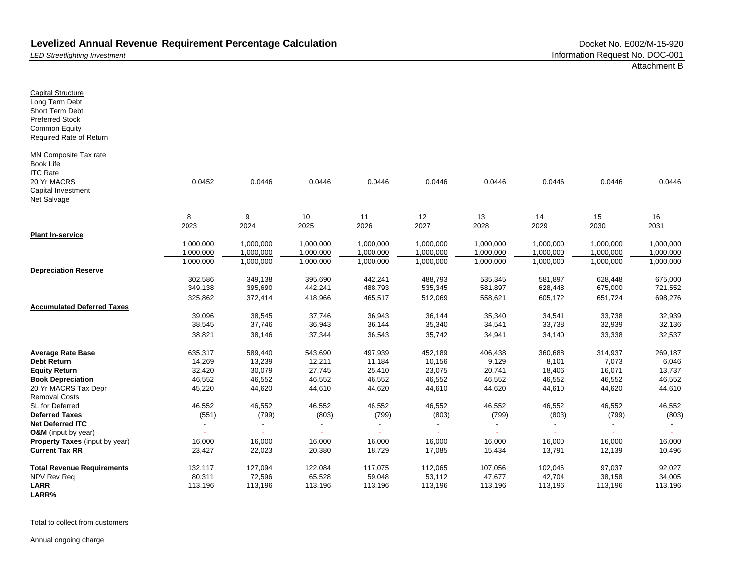*LED Streetlighting Investment*

Capital Structure Long Term Debt Short Term Debt Preferred Stock Common Equity

Book Life ITC Rate 20 Yr MACRS Capital Investment Net Salvage

**Plant In-service**

**Debt Return Equity Return**

Removal Costs SL for Deferred **Deferred Taxes Net Deferred ITC**

Required Rate of Return MN Composite Tax rate **Depreciation Reserve Accumulated Deferred Taxes Average Rate Base Book Depreciation** 20 Yr MACRS Tax Depr 0.0452 0.0446 0.0446 0.0446 0.0446 0.0446 0.0446 0.0446 0.0446 8 9 10 11 12 13 14 15 16 2023 2024 2025 2026 2027 2028 2029 2030 2031 1,000,000 1,000,000 1,000,000 1,000,000 1,000,000 1,000,000 1,000,000 1,000,000 1,000,000 1,000,000 1,000,000 1,000,000 1,000,000 1,000,000 1,000,000 1,000,000 1,000,000 1,000,000 1,000,000 1,000,000 1,000,000 1,000,000 1,000,000 1,000,000 1,000,000 1,000,000 1,000,000 302,586 349,138 395,690 442,241 488,793 535,345 581,897 628,448 675,000 349,138 395,690 442,241 488,793 535,345 581,897 628,448 675,000 721,552 325,862 372,414 418,966 465,517 512,069 558,621 605,172 651,724 698,276 39,096 38,545 37,746 36,943 36,144 35,340 34,541 33,738 32,939 38,545 37,746 36,943 36,144 35,340 34,541 33,738 32,939 32,136 38,821 38,146 37,344 36,543 35,742 34,941 34,140 33,338 32,537 635,317 589,440 543,690 497,939 452,189 406,438 360,688 314,937 269,187 14,269 13,239 12,211 11,184 10,156 9,129 8,101 7,073 6,046 32,420 30,079 27,745 25,410 23,075 20,741 18,406 16,071 13,737 46,552 46,552 46,552 46,552 46,552 46,552 46,552 46,552 46,552 45,220 44,620 44,610 44,620 44,610 44,620 44,610 44,620 44,610 46,552 46,552 46,552 46,552 46,552 46,552 46,552 46,552 46,552 (551) (799) (803) (799) (803) (799) (803) (799) (803) - - - - - - - - - - - - - - - - - -

**O&M** (input by year) **Property Taxes** (input by year) **Current Tax RR Total Revenue Requirements** NPV Rev Req **LARR LARR%** 16,000 16,000 16,000 16,000 16,000 16,000 16,000 16,000 16,000 23,427 22,023 20,380 18,729 17,085 15,434 13,791 12,139 10,496 132,117 127,094 122,084 117,075 112,065 107,056 102,046 97,037 92,027 80,311 72,596 65,528 59,048 53,112 47,677 42,704 38,158 34,005 113,196 113,196 113,196 113,196 113,196 113,196 113,196 113,196 113,196

Total to collect from customers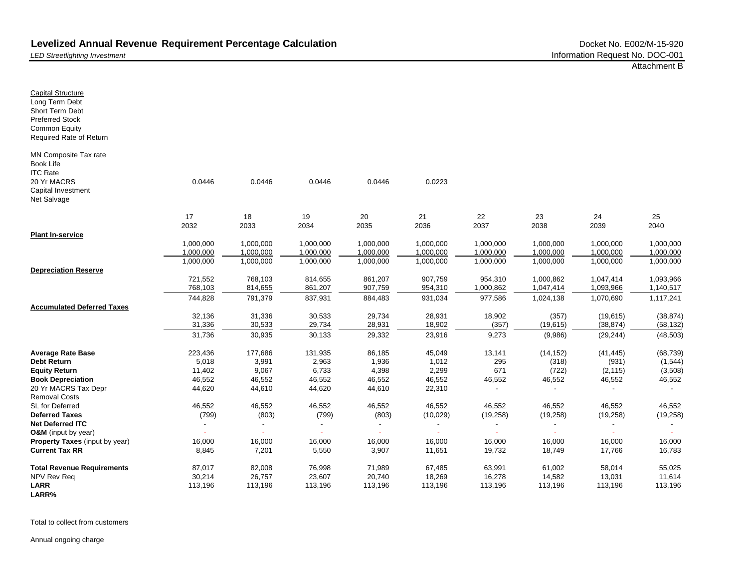*LED Streetlighting Investment*

Capital Structure Long Term Debt Short Term Debt Preferred Stock Common Equity

Book Life ITC Rate 20 Yr MACRS Capital Investment Net Salvage

**Plant In-service**

**Average Rate Base Debt Return Equity Return Book Depreciation**

Removal Costs SL for Deferred **Deferred Taxes Net Deferred ITC**

Required Rate of Return MN Composite Tax rate **Depreciation Reserve Accumulated Deferred Taxes** 20 Yr MACRS Tax Depr 0.0446 0.0446 0.0446 0.0446 0.0223 17 18 19 20 21 22 23 24 25 2032 2033 2034 2035 2036 2037 2038 2039 2040 1,000,000 1,000,000 1,000,000 1,000,000 1,000,000 1,000,000 1,000,000 1,000,000 1,000,000 1,000,000 1,000,000 1,000,000 1,000,000 1,000,000 1,000,000 1,000,000 1,000,000 1,000,000 1,000,000 1,000,000 1,000,000 1,000,000 1,000,000 1,000,000 1,000,000 1,000,000 1,000,000 721,552 768,103 814,655 861,207 907,759 954,310 1,000,862 1,047,414 1,093,966 768,103 814,655 861,207 907,759 954,310 1,000,862 1,047,414 1,093,966 1,140,517 744,828 791,379 837,931 884,483 931,034 977,586 1,024,138 1,070,690 1,117,241 32,136 31,336 30,533 29,734 28,931 18,902 (357) (19,615) (38,874) 31,336 30,533 29,734 28,931 18,902 (357) (19,615) (38,874) (58,132) 31,736 30,935 30,133 29,332 23,916 9,273 (9,986) (29,244) (48,503) 223,436 177,686 131,935 86,185 45,049 13,141 (14,152) (41,445) (68,739) 5,018 3,991 2,963 1,936 1,012 295 (318) (931) (1,544) 11,402 9,067 6,733 4,398 2,299 671 (722) (2,115) (3,508) 46,552 46,552 46,552 46,552 46,552 46,552 46,552 46,552 46,552 44,620 44,610 44,620 44,610 22,310 - - - - 46,552 46,552 46,552 46,552 46,552 46,552 46,552 46,552 46,552 (799) (803) (799) (803) (10,029) (19,258) (19,258) (19,258) (19,258) - - - - - - - - -

**O&M** (input by year) **Property Taxes** (input by year) **Current Tax RR Total Revenue Requirements** NPV Rev Req **LARR LARR%** - - - - - - - - - 16,000 16,000 16,000 16,000 16,000 16,000 16,000 16,000 16,000 8,845 7,201 5,550 3,907 11,651 19,732 18,749 17,766 16,783 87,017 82,008 76,998 71,989 67,485 63,991 61,002 58,014 55,025 30,214 26,757 23,607 20,740 18,269 16,278 14,582 13,031 11,614 113,196 113,196 113,196 113,196 113,196 113,196 113,196 113,196 113,196

Total to collect from customers

Annual ongoing charge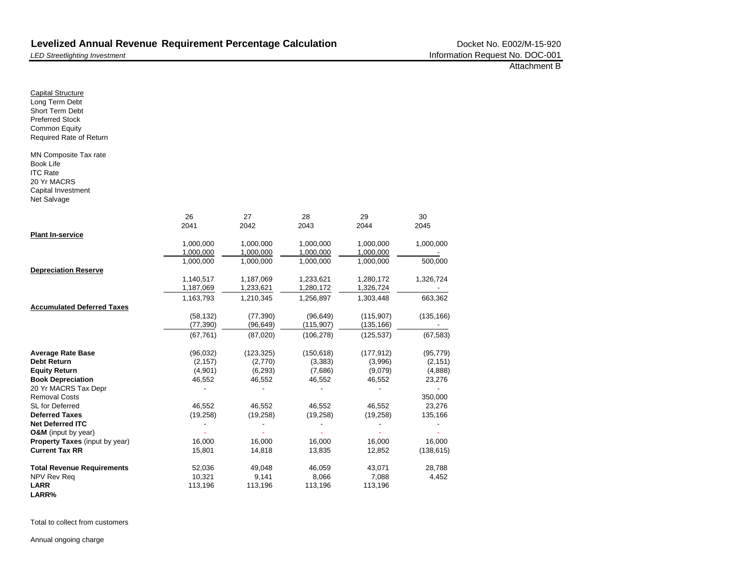*LED Streetlighting Investment*

| <b>Capital Structure</b><br>Long Term Debt<br>Short Term Debt<br><b>Preferred Stock</b><br><b>Common Equity</b><br>Required Rate of Return |           |            |            |            |            |
|--------------------------------------------------------------------------------------------------------------------------------------------|-----------|------------|------------|------------|------------|
| MN Composite Tax rate<br><b>Book Life</b><br><b>ITC Rate</b><br>20 Yr MACRS<br>Capital Investment<br>Net Salvage                           |           |            |            |            |            |
|                                                                                                                                            | 26        | 27         | 28         | 29         | 30         |
|                                                                                                                                            | 2041      | 2042       | 2043       | 2044       | 2045       |
| <b>Plant In-service</b>                                                                                                                    |           |            |            |            |            |
|                                                                                                                                            | 1,000,000 | 1,000,000  | 1,000,000  | 1,000,000  | 1,000,000  |
|                                                                                                                                            | 1,000,000 | 1,000,000  | 1,000,000  | 1,000,000  |            |
|                                                                                                                                            | 1,000,000 | 1,000,000  | 1,000,000  | 1,000,000  | 500,000    |
| <b>Depreciation Reserve</b>                                                                                                                |           |            |            |            |            |
|                                                                                                                                            | 1,140,517 | 1,187,069  | 1,233,621  | 1,280,172  | 1,326,724  |
|                                                                                                                                            | 1,187,069 | 1,233,621  | 1,280,172  | 1,326,724  |            |
|                                                                                                                                            | 1,163,793 | 1,210,345  | 1,256,897  | 1,303,448  | 663,362    |
| <b>Accumulated Deferred Taxes</b>                                                                                                          |           |            |            |            |            |
|                                                                                                                                            | (58, 132) | (77, 390)  | (96, 649)  | (115, 907) | (135, 166) |
|                                                                                                                                            | (77, 390) | (96, 649)  | (115, 907) | (135, 166) |            |
|                                                                                                                                            | (67, 761) | (87,020)   | (106, 278) | (125, 537) | (67, 583)  |
| <b>Average Rate Base</b>                                                                                                                   | (96, 032) | (123, 325) | (150, 618) | (177, 912) | (95, 779)  |
| <b>Debt Return</b>                                                                                                                         | (2, 157)  | (2,770)    | (3, 383)   | (3,996)    | (2, 151)   |
| <b>Equity Return</b>                                                                                                                       | (4,901)   | (6, 293)   | (7,686)    | (9,079)    | (4,888)    |
| <b>Book Depreciation</b>                                                                                                                   | 46,552    | 46,552     | 46,552     | 46,552     | 23,276     |
| 20 Yr MACRS Tax Depr                                                                                                                       |           |            |            |            |            |
| <b>Removal Costs</b>                                                                                                                       |           |            |            |            | 350,000    |
| SL for Deferred                                                                                                                            | 46,552    | 46,552     | 46,552     | 46,552     | 23,276     |
| <b>Deferred Taxes</b>                                                                                                                      | (19, 258) | (19, 258)  | (19, 258)  | (19, 258)  | 135,166    |
| <b>Net Deferred ITC</b>                                                                                                                    |           |            |            |            |            |
| O&M (input by year)                                                                                                                        |           |            |            |            |            |
| Property Taxes (input by year)                                                                                                             | 16,000    | 16,000     | 16,000     | 16,000     | 16,000     |
| <b>Current Tax RR</b>                                                                                                                      | 15,801    | 14,818     | 13,835     | 12,852     | (138, 615) |
| <b>Total Revenue Requirements</b>                                                                                                          | 52,036    | 49,048     | 46,059     | 43,071     | 28,788     |
| NPV Rev Req                                                                                                                                | 10,321    | 9,141      | 8,066      | 7,088      | 4,452      |
| <b>LARR</b>                                                                                                                                | 113,196   | 113,196    | 113,196    | 113,196    |            |
| LARR%                                                                                                                                      |           |            |            |            |            |

Total to collect from customers